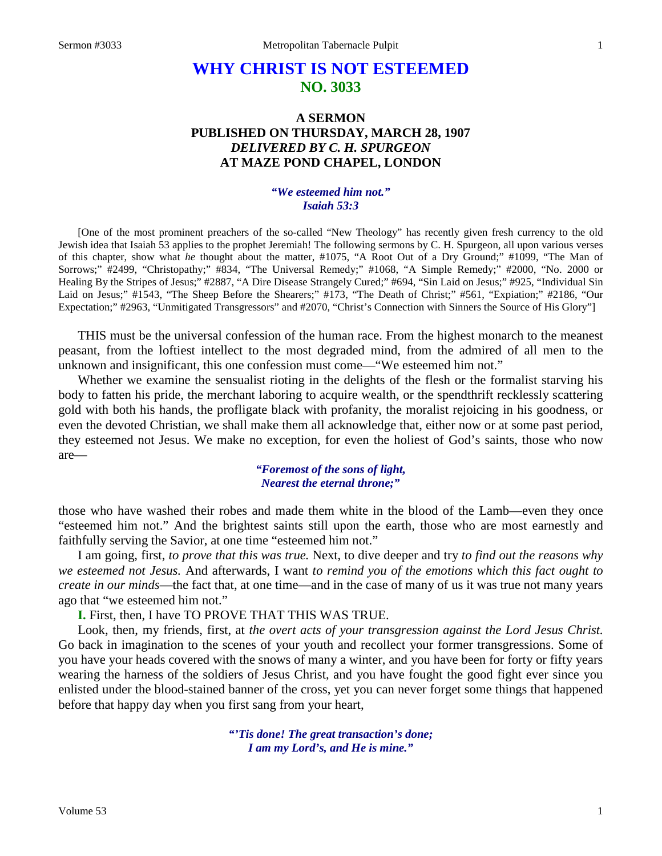# **WHY CHRIST IS NOT ESTEEMED NO. 3033**

# **A SERMON PUBLISHED ON THURSDAY, MARCH 28, 1907** *DELIVERED BY C. H. SPURGEON* **AT MAZE POND CHAPEL, LONDON**

#### *"We esteemed him not." Isaiah 53:3*

[One of the most prominent preachers of the so-called "New Theology" has recently given fresh currency to the old Jewish idea that Isaiah 53 applies to the prophet Jeremiah! The following sermons by C. H. Spurgeon, all upon various verses of this chapter, show what *he* thought about the matter, #1075, "A Root Out of a Dry Ground;" #1099, "The Man of Sorrows;" #2499, "Christopathy;" #834, "The Universal Remedy;" #1068, "A Simple Remedy;" #2000, "No. 2000 or Healing By the Stripes of Jesus;" #2887, "A Dire Disease Strangely Cured;" #694, "Sin Laid on Jesus;" #925, "Individual Sin Laid on Jesus;" #1543, "The Sheep Before the Shearers;" #173, "The Death of Christ;" #561, "Expiation;" #2186, "Our Expectation;" #2963, "Unmitigated Transgressors" and #2070, "Christ's Connection with Sinners the Source of His Glory"]

THIS must be the universal confession of the human race. From the highest monarch to the meanest peasant, from the loftiest intellect to the most degraded mind, from the admired of all men to the unknown and insignificant, this one confession must come—"We esteemed him not."

Whether we examine the sensualist rioting in the delights of the flesh or the formalist starving his body to fatten his pride, the merchant laboring to acquire wealth, or the spendthrift recklessly scattering gold with both his hands, the profligate black with profanity, the moralist rejoicing in his goodness, or even the devoted Christian, we shall make them all acknowledge that, either now or at some past period, they esteemed not Jesus. We make no exception, for even the holiest of God's saints, those who now are—

#### *"Foremost of the sons of light, Nearest the eternal throne;"*

those who have washed their robes and made them white in the blood of the Lamb—even they once "esteemed him not." And the brightest saints still upon the earth, those who are most earnestly and faithfully serving the Savior, at one time "esteemed him not."

I am going, first, *to prove that this was true.* Next, to dive deeper and try *to find out the reasons why we esteemed not Jesus.* And afterwards, I want *to remind you of the emotions which this fact ought to create in our minds*—the fact that, at one time—and in the case of many of us it was true not many years ago that "we esteemed him not."

**I.** First, then, I have TO PROVE THAT THIS WAS TRUE.

Look, then, my friends, first, at *the overt acts of your transgression against the Lord Jesus Christ.*  Go back in imagination to the scenes of your youth and recollect your former transgressions. Some of you have your heads covered with the snows of many a winter, and you have been for forty or fifty years wearing the harness of the soldiers of Jesus Christ, and you have fought the good fight ever since you enlisted under the blood-stained banner of the cross, yet you can never forget some things that happened before that happy day when you first sang from your heart,

> *"'Tis done! The great transaction's done; I am my Lord's, and He is mine."*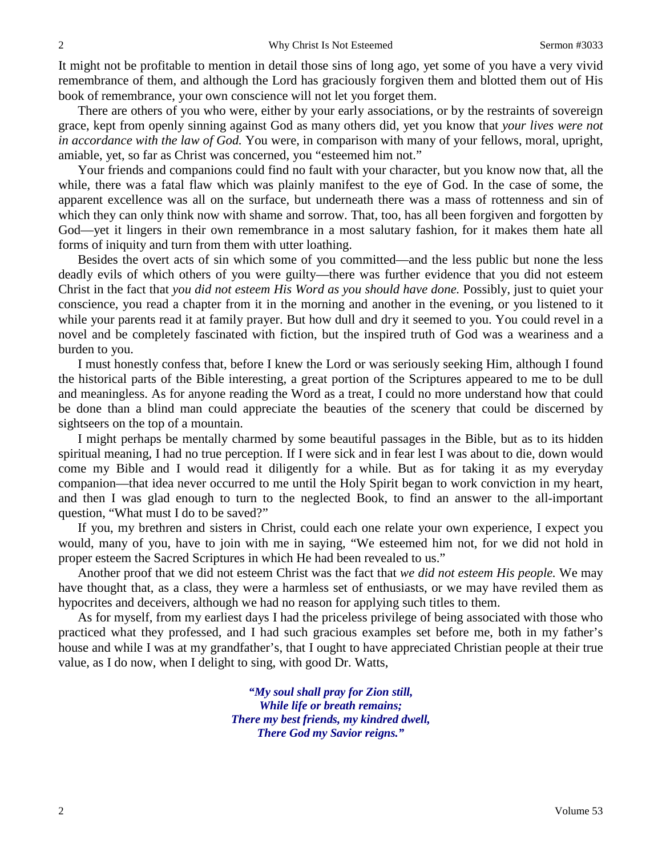It might not be profitable to mention in detail those sins of long ago, yet some of you have a very vivid remembrance of them, and although the Lord has graciously forgiven them and blotted them out of His book of remembrance, your own conscience will not let you forget them.

There are others of you who were, either by your early associations, or by the restraints of sovereign grace, kept from openly sinning against God as many others did, yet you know that *your lives were not in accordance with the law of God.* You were, in comparison with many of your fellows, moral, upright, amiable, yet, so far as Christ was concerned, you "esteemed him not."

Your friends and companions could find no fault with your character, but you know now that, all the while, there was a fatal flaw which was plainly manifest to the eye of God. In the case of some, the apparent excellence was all on the surface, but underneath there was a mass of rottenness and sin of which they can only think now with shame and sorrow. That, too, has all been forgiven and forgotten by God—yet it lingers in their own remembrance in a most salutary fashion, for it makes them hate all forms of iniquity and turn from them with utter loathing.

Besides the overt acts of sin which some of you committed—and the less public but none the less deadly evils of which others of you were guilty—there was further evidence that you did not esteem Christ in the fact that *you did not esteem His Word as you should have done.* Possibly, just to quiet your conscience, you read a chapter from it in the morning and another in the evening, or you listened to it while your parents read it at family prayer. But how dull and dry it seemed to you. You could revel in a novel and be completely fascinated with fiction, but the inspired truth of God was a weariness and a burden to you.

I must honestly confess that, before I knew the Lord or was seriously seeking Him, although I found the historical parts of the Bible interesting, a great portion of the Scriptures appeared to me to be dull and meaningless. As for anyone reading the Word as a treat, I could no more understand how that could be done than a blind man could appreciate the beauties of the scenery that could be discerned by sightseers on the top of a mountain.

I might perhaps be mentally charmed by some beautiful passages in the Bible, but as to its hidden spiritual meaning, I had no true perception. If I were sick and in fear lest I was about to die, down would come my Bible and I would read it diligently for a while. But as for taking it as my everyday companion—that idea never occurred to me until the Holy Spirit began to work conviction in my heart, and then I was glad enough to turn to the neglected Book, to find an answer to the all-important question, "What must I do to be saved?"

If you, my brethren and sisters in Christ, could each one relate your own experience, I expect you would, many of you, have to join with me in saying, "We esteemed him not, for we did not hold in proper esteem the Sacred Scriptures in which He had been revealed to us."

Another proof that we did not esteem Christ was the fact that *we did not esteem His people.* We may have thought that, as a class, they were a harmless set of enthusiasts, or we may have reviled them as hypocrites and deceivers, although we had no reason for applying such titles to them.

As for myself, from my earliest days I had the priceless privilege of being associated with those who practiced what they professed, and I had such gracious examples set before me, both in my father's house and while I was at my grandfather's, that I ought to have appreciated Christian people at their true value, as I do now, when I delight to sing, with good Dr. Watts,

> *"My soul shall pray for Zion still, While life or breath remains; There my best friends, my kindred dwell, There God my Savior reigns."*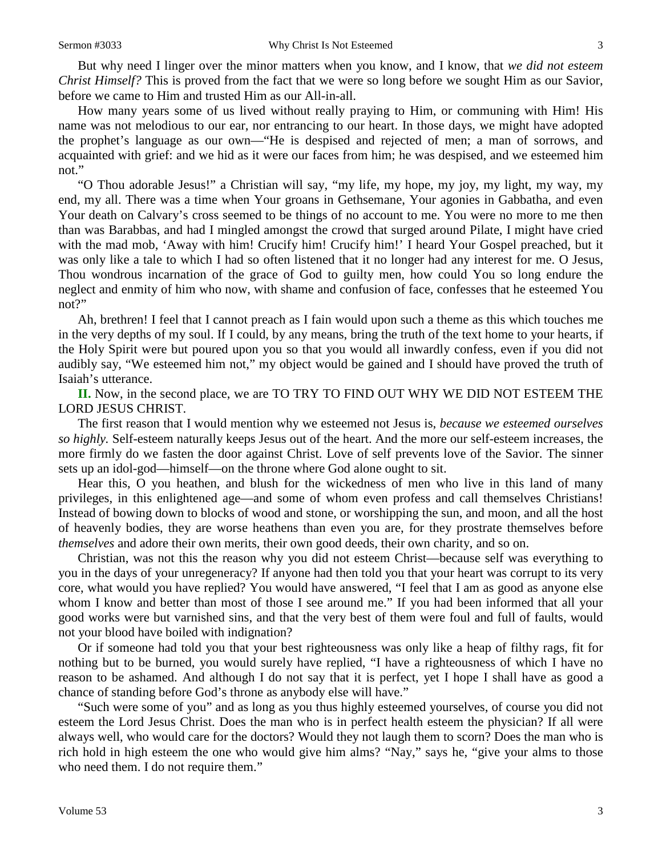But why need I linger over the minor matters when you know, and I know, that *we did not esteem Christ Himself?* This is proved from the fact that we were so long before we sought Him as our Savior, before we came to Him and trusted Him as our All-in-all.

How many years some of us lived without really praying to Him, or communing with Him! His name was not melodious to our ear, nor entrancing to our heart. In those days, we might have adopted the prophet's language as our own—"He is despised and rejected of men; a man of sorrows, and acquainted with grief: and we hid as it were our faces from him; he was despised, and we esteemed him not."

"O Thou adorable Jesus!" a Christian will say, "my life, my hope, my joy, my light, my way, my end, my all. There was a time when Your groans in Gethsemane, Your agonies in Gabbatha, and even Your death on Calvary's cross seemed to be things of no account to me. You were no more to me then than was Barabbas, and had I mingled amongst the crowd that surged around Pilate, I might have cried with the mad mob, 'Away with him! Crucify him! Crucify him!' I heard Your Gospel preached, but it was only like a tale to which I had so often listened that it no longer had any interest for me. O Jesus, Thou wondrous incarnation of the grace of God to guilty men, how could You so long endure the neglect and enmity of him who now, with shame and confusion of face, confesses that he esteemed You not?"

Ah, brethren! I feel that I cannot preach as I fain would upon such a theme as this which touches me in the very depths of my soul. If I could, by any means, bring the truth of the text home to your hearts, if the Holy Spirit were but poured upon you so that you would all inwardly confess, even if you did not audibly say, "We esteemed him not," my object would be gained and I should have proved the truth of Isaiah's utterance.

**II.** Now, in the second place, we are TO TRY TO FIND OUT WHY WE DID NOT ESTEEM THE LORD JESUS CHRIST.

The first reason that I would mention why we esteemed not Jesus is, *because we esteemed ourselves so highly.* Self-esteem naturally keeps Jesus out of the heart. And the more our self-esteem increases, the more firmly do we fasten the door against Christ. Love of self prevents love of the Savior. The sinner sets up an idol-god—himself—on the throne where God alone ought to sit.

Hear this, O you heathen, and blush for the wickedness of men who live in this land of many privileges, in this enlightened age—and some of whom even profess and call themselves Christians! Instead of bowing down to blocks of wood and stone, or worshipping the sun, and moon, and all the host of heavenly bodies, they are worse heathens than even you are, for they prostrate themselves before *themselves* and adore their own merits, their own good deeds, their own charity, and so on.

Christian, was not this the reason why you did not esteem Christ—because self was everything to you in the days of your unregeneracy? If anyone had then told you that your heart was corrupt to its very core, what would you have replied? You would have answered, "I feel that I am as good as anyone else whom I know and better than most of those I see around me." If you had been informed that all your good works were but varnished sins, and that the very best of them were foul and full of faults, would not your blood have boiled with indignation?

Or if someone had told you that your best righteousness was only like a heap of filthy rags, fit for nothing but to be burned, you would surely have replied, "I have a righteousness of which I have no reason to be ashamed. And although I do not say that it is perfect, yet I hope I shall have as good a chance of standing before God's throne as anybody else will have."

"Such were some of you" and as long as you thus highly esteemed yourselves, of course you did not esteem the Lord Jesus Christ. Does the man who is in perfect health esteem the physician? If all were always well, who would care for the doctors? Would they not laugh them to scorn? Does the man who is rich hold in high esteem the one who would give him alms? "Nay," says he, "give your alms to those who need them. I do not require them."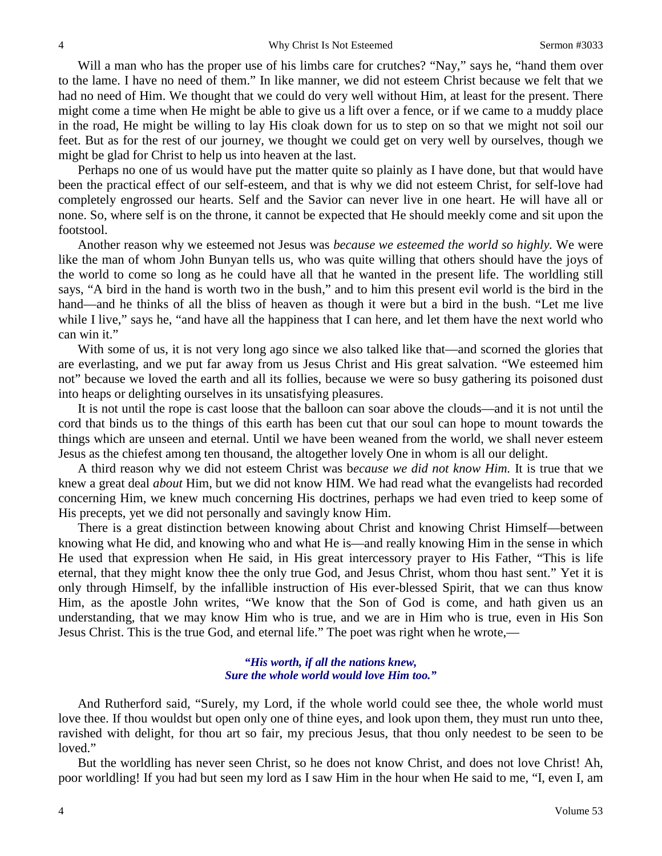Will a man who has the proper use of his limbs care for crutches? "Nay," says he, "hand them over to the lame. I have no need of them." In like manner, we did not esteem Christ because we felt that we had no need of Him. We thought that we could do very well without Him, at least for the present. There might come a time when He might be able to give us a lift over a fence, or if we came to a muddy place in the road, He might be willing to lay His cloak down for us to step on so that we might not soil our feet. But as for the rest of our journey, we thought we could get on very well by ourselves, though we might be glad for Christ to help us into heaven at the last.

Perhaps no one of us would have put the matter quite so plainly as I have done, but that would have been the practical effect of our self-esteem, and that is why we did not esteem Christ, for self-love had completely engrossed our hearts. Self and the Savior can never live in one heart. He will have all or none. So, where self is on the throne, it cannot be expected that He should meekly come and sit upon the footstool.

Another reason why we esteemed not Jesus was *because we esteemed the world so highly.* We were like the man of whom John Bunyan tells us, who was quite willing that others should have the joys of the world to come so long as he could have all that he wanted in the present life. The worldling still says, "A bird in the hand is worth two in the bush," and to him this present evil world is the bird in the hand—and he thinks of all the bliss of heaven as though it were but a bird in the bush. "Let me live while I live," says he, "and have all the happiness that I can here, and let them have the next world who can win it."

With some of us, it is not very long ago since we also talked like that—and scorned the glories that are everlasting, and we put far away from us Jesus Christ and His great salvation. "We esteemed him not" because we loved the earth and all its follies, because we were so busy gathering its poisoned dust into heaps or delighting ourselves in its unsatisfying pleasures.

It is not until the rope is cast loose that the balloon can soar above the clouds—and it is not until the cord that binds us to the things of this earth has been cut that our soul can hope to mount towards the things which are unseen and eternal. Until we have been weaned from the world, we shall never esteem Jesus as the chiefest among ten thousand, the altogether lovely One in whom is all our delight.

A third reason why we did not esteem Christ was b*ecause we did not know Him.* It is true that we knew a great deal *about* Him, but we did not know HIM. We had read what the evangelists had recorded concerning Him, we knew much concerning His doctrines, perhaps we had even tried to keep some of His precepts, yet we did not personally and savingly know Him.

There is a great distinction between knowing about Christ and knowing Christ Himself—between knowing what He did, and knowing who and what He is—and really knowing Him in the sense in which He used that expression when He said, in His great intercessory prayer to His Father, "This is life eternal, that they might know thee the only true God, and Jesus Christ, whom thou hast sent." Yet it is only through Himself, by the infallible instruction of His ever-blessed Spirit, that we can thus know Him, as the apostle John writes, "We know that the Son of God is come, and hath given us an understanding, that we may know Him who is true, and we are in Him who is true, even in His Son Jesus Christ. This is the true God, and eternal life." The poet was right when he wrote,—

#### *"His worth, if all the nations knew, Sure the whole world would love Him too."*

And Rutherford said, "Surely, my Lord, if the whole world could see thee, the whole world must love thee. If thou wouldst but open only one of thine eyes, and look upon them, they must run unto thee, ravished with delight, for thou art so fair, my precious Jesus, that thou only needest to be seen to be loved."

But the worldling has never seen Christ, so he does not know Christ, and does not love Christ! Ah, poor worldling! If you had but seen my lord as I saw Him in the hour when He said to me, "I, even I, am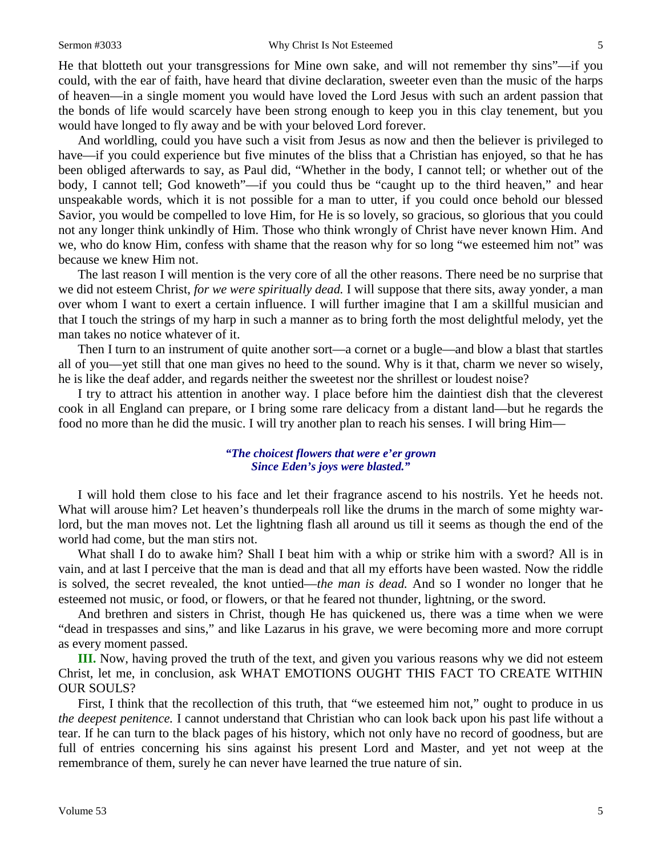#### Sermon #3033 Why Christ Is Not Esteemed 5

He that blotteth out your transgressions for Mine own sake, and will not remember thy sins"—if you could, with the ear of faith, have heard that divine declaration, sweeter even than the music of the harps of heaven—in a single moment you would have loved the Lord Jesus with such an ardent passion that the bonds of life would scarcely have been strong enough to keep you in this clay tenement, but you would have longed to fly away and be with your beloved Lord forever.

And worldling, could you have such a visit from Jesus as now and then the believer is privileged to have—if you could experience but five minutes of the bliss that a Christian has enjoyed, so that he has been obliged afterwards to say, as Paul did, "Whether in the body, I cannot tell; or whether out of the body, I cannot tell; God knoweth"—if you could thus be "caught up to the third heaven," and hear unspeakable words, which it is not possible for a man to utter, if you could once behold our blessed Savior, you would be compelled to love Him, for He is so lovely, so gracious, so glorious that you could not any longer think unkindly of Him. Those who think wrongly of Christ have never known Him. And we, who do know Him, confess with shame that the reason why for so long "we esteemed him not" was because we knew Him not.

The last reason I will mention is the very core of all the other reasons. There need be no surprise that we did not esteem Christ, *for we were spiritually dead.* I will suppose that there sits, away yonder, a man over whom I want to exert a certain influence. I will further imagine that I am a skillful musician and that I touch the strings of my harp in such a manner as to bring forth the most delightful melody, yet the man takes no notice whatever of it.

Then I turn to an instrument of quite another sort—a cornet or a bugle—and blow a blast that startles all of you—yet still that one man gives no heed to the sound. Why is it that, charm we never so wisely, he is like the deaf adder, and regards neither the sweetest nor the shrillest or loudest noise?

I try to attract his attention in another way. I place before him the daintiest dish that the cleverest cook in all England can prepare, or I bring some rare delicacy from a distant land—but he regards the food no more than he did the music. I will try another plan to reach his senses. I will bring Him—

#### *"The choicest flowers that were e'er grown Since Eden's joys were blasted."*

I will hold them close to his face and let their fragrance ascend to his nostrils. Yet he heeds not. What will arouse him? Let heaven's thunderpeals roll like the drums in the march of some mighty warlord, but the man moves not. Let the lightning flash all around us till it seems as though the end of the world had come, but the man stirs not.

What shall I do to awake him? Shall I beat him with a whip or strike him with a sword? All is in vain, and at last I perceive that the man is dead and that all my efforts have been wasted. Now the riddle is solved, the secret revealed, the knot untied—*the man is dead.* And so I wonder no longer that he esteemed not music, or food, or flowers, or that he feared not thunder, lightning, or the sword.

And brethren and sisters in Christ, though He has quickened us, there was a time when we were "dead in trespasses and sins," and like Lazarus in his grave, we were becoming more and more corrupt as every moment passed.

**III.** Now, having proved the truth of the text, and given you various reasons why we did not esteem Christ, let me, in conclusion, ask WHAT EMOTIONS OUGHT THIS FACT TO CREATE WITHIN OUR SOULS?

First, I think that the recollection of this truth, that "we esteemed him not," ought to produce in us *the deepest penitence.* I cannot understand that Christian who can look back upon his past life without a tear. If he can turn to the black pages of his history, which not only have no record of goodness, but are full of entries concerning his sins against his present Lord and Master, and yet not weep at the remembrance of them, surely he can never have learned the true nature of sin.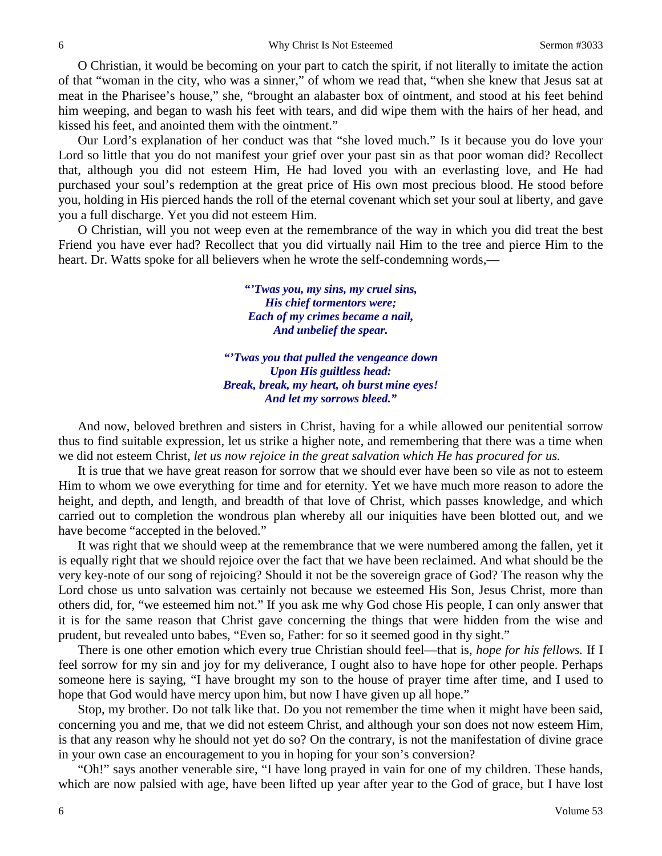O Christian, it would be becoming on your part to catch the spirit, if not literally to imitate the action of that "woman in the city, who was a sinner," of whom we read that, "when she knew that Jesus sat at meat in the Pharisee's house," she, "brought an alabaster box of ointment, and stood at his feet behind him weeping, and began to wash his feet with tears, and did wipe them with the hairs of her head, and kissed his feet, and anointed them with the ointment."

Our Lord's explanation of her conduct was that "she loved much." Is it because you do love your Lord so little that you do not manifest your grief over your past sin as that poor woman did? Recollect that, although you did not esteem Him, He had loved you with an everlasting love, and He had purchased your soul's redemption at the great price of His own most precious blood. He stood before you, holding in His pierced hands the roll of the eternal covenant which set your soul at liberty, and gave you a full discharge. Yet you did not esteem Him.

O Christian, will you not weep even at the remembrance of the way in which you did treat the best Friend you have ever had? Recollect that you did virtually nail Him to the tree and pierce Him to the heart. Dr. Watts spoke for all believers when he wrote the self-condemning words,—

> *"'Twas you, my sins, my cruel sins, His chief tormentors were; Each of my crimes became a nail, And unbelief the spear.*

*"'Twas you that pulled the vengeance down Upon His guiltless head: Break, break, my heart, oh burst mine eyes! And let my sorrows bleed."*

And now, beloved brethren and sisters in Christ, having for a while allowed our penitential sorrow thus to find suitable expression, let us strike a higher note, and remembering that there was a time when we did not esteem Christ, *let us now rejoice in the great salvation which He has procured for us.* 

It is true that we have great reason for sorrow that we should ever have been so vile as not to esteem Him to whom we owe everything for time and for eternity. Yet we have much more reason to adore the height, and depth, and length, and breadth of that love of Christ, which passes knowledge, and which carried out to completion the wondrous plan whereby all our iniquities have been blotted out, and we have become "accepted in the beloved."

It was right that we should weep at the remembrance that we were numbered among the fallen, yet it is equally right that we should rejoice over the fact that we have been reclaimed. And what should be the very key-note of our song of rejoicing? Should it not be the sovereign grace of God? The reason why the Lord chose us unto salvation was certainly not because we esteemed His Son, Jesus Christ, more than others did, for, "we esteemed him not." If you ask me why God chose His people, I can only answer that it is for the same reason that Christ gave concerning the things that were hidden from the wise and prudent, but revealed unto babes, "Even so, Father: for so it seemed good in thy sight."

There is one other emotion which every true Christian should feel—that is, *hope for his fellows.* If I feel sorrow for my sin and joy for my deliverance, I ought also to have hope for other people. Perhaps someone here is saying, "I have brought my son to the house of prayer time after time, and I used to hope that God would have mercy upon him, but now I have given up all hope."

Stop, my brother. Do not talk like that. Do you not remember the time when it might have been said, concerning you and me, that we did not esteem Christ, and although your son does not now esteem Him, is that any reason why he should not yet do so? On the contrary, is not the manifestation of divine grace in your own case an encouragement to you in hoping for your son's conversion?

"Oh!" says another venerable sire, "I have long prayed in vain for one of my children. These hands, which are now palsied with age, have been lifted up year after year to the God of grace, but I have lost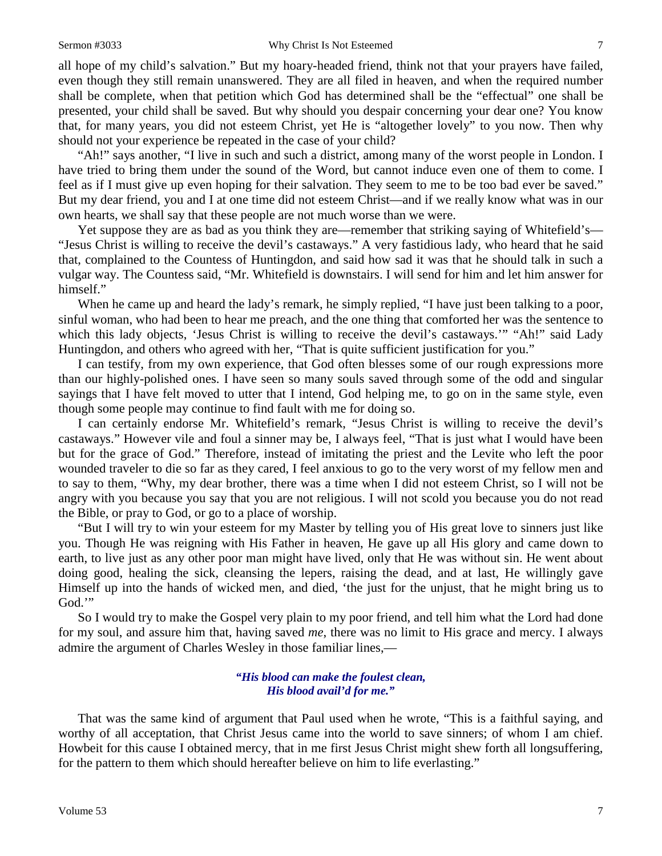all hope of my child's salvation." But my hoary-headed friend, think not that your prayers have failed, even though they still remain unanswered. They are all filed in heaven, and when the required number shall be complete, when that petition which God has determined shall be the "effectual" one shall be presented, your child shall be saved. But why should you despair concerning your dear one? You know that, for many years, you did not esteem Christ, yet He is "altogether lovely" to you now. Then why should not your experience be repeated in the case of your child?

"Ah!" says another, "I live in such and such a district, among many of the worst people in London. I have tried to bring them under the sound of the Word, but cannot induce even one of them to come. I feel as if I must give up even hoping for their salvation. They seem to me to be too bad ever be saved." But my dear friend, you and I at one time did not esteem Christ—and if we really know what was in our own hearts, we shall say that these people are not much worse than we were.

Yet suppose they are as bad as you think they are—remember that striking saying of Whitefield's— "Jesus Christ is willing to receive the devil's castaways." A very fastidious lady, who heard that he said that, complained to the Countess of Huntingdon, and said how sad it was that he should talk in such a vulgar way. The Countess said, "Mr. Whitefield is downstairs. I will send for him and let him answer for himself."

When he came up and heard the lady's remark, he simply replied, "I have just been talking to a poor, sinful woman, who had been to hear me preach, and the one thing that comforted her was the sentence to which this lady objects, 'Jesus Christ is willing to receive the devil's castaways.'" "Ah!" said Lady Huntingdon, and others who agreed with her, "That is quite sufficient justification for you."

I can testify, from my own experience, that God often blesses some of our rough expressions more than our highly-polished ones. I have seen so many souls saved through some of the odd and singular sayings that I have felt moved to utter that I intend, God helping me, to go on in the same style, even though some people may continue to find fault with me for doing so.

I can certainly endorse Mr. Whitefield's remark, "Jesus Christ is willing to receive the devil's castaways." However vile and foul a sinner may be, I always feel, "That is just what I would have been but for the grace of God." Therefore, instead of imitating the priest and the Levite who left the poor wounded traveler to die so far as they cared, I feel anxious to go to the very worst of my fellow men and to say to them, "Why, my dear brother, there was a time when I did not esteem Christ, so I will not be angry with you because you say that you are not religious. I will not scold you because you do not read the Bible, or pray to God, or go to a place of worship.

"But I will try to win your esteem for my Master by telling you of His great love to sinners just like you. Though He was reigning with His Father in heaven, He gave up all His glory and came down to earth, to live just as any other poor man might have lived, only that He was without sin. He went about doing good, healing the sick, cleansing the lepers, raising the dead, and at last, He willingly gave Himself up into the hands of wicked men, and died, 'the just for the unjust, that he might bring us to God."

So I would try to make the Gospel very plain to my poor friend, and tell him what the Lord had done for my soul, and assure him that, having saved *me*, there was no limit to His grace and mercy. I always admire the argument of Charles Wesley in those familiar lines,—

#### *"His blood can make the foulest clean, His blood avail'd for me."*

That was the same kind of argument that Paul used when he wrote, "This is a faithful saying, and worthy of all acceptation, that Christ Jesus came into the world to save sinners; of whom I am chief. Howbeit for this cause I obtained mercy, that in me first Jesus Christ might shew forth all longsuffering, for the pattern to them which should hereafter believe on him to life everlasting."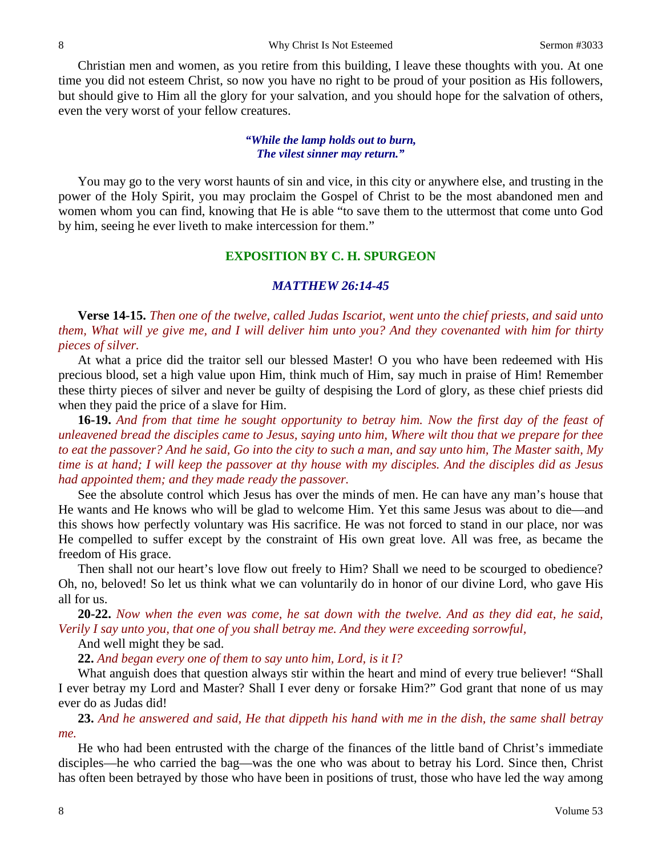Christian men and women, as you retire from this building, I leave these thoughts with you. At one time you did not esteem Christ, so now you have no right to be proud of your position as His followers, but should give to Him all the glory for your salvation, and you should hope for the salvation of others, even the very worst of your fellow creatures.

#### *"While the lamp holds out to burn, The vilest sinner may return."*

You may go to the very worst haunts of sin and vice, in this city or anywhere else, and trusting in the power of the Holy Spirit, you may proclaim the Gospel of Christ to be the most abandoned men and women whom you can find, knowing that He is able "to save them to the uttermost that come unto God by him, seeing he ever liveth to make intercession for them."

## **EXPOSITION BY C. H. SPURGEON**

### *MATTHEW 26:14-45*

**Verse 14-15.** *Then one of the twelve, called Judas Iscariot, went unto the chief priests, and said unto them, What will ye give me, and I will deliver him unto you? And they covenanted with him for thirty pieces of silver.*

At what a price did the traitor sell our blessed Master! O you who have been redeemed with His precious blood, set a high value upon Him, think much of Him, say much in praise of Him! Remember these thirty pieces of silver and never be guilty of despising the Lord of glory, as these chief priests did when they paid the price of a slave for Him.

**16-19.** *And from that time he sought opportunity to betray him. Now the first day of the feast of unleavened bread the disciples came to Jesus, saying unto him, Where wilt thou that we prepare for thee to eat the passover? And he said, Go into the city to such a man, and say unto him, The Master saith, My time is at hand; I will keep the passover at thy house with my disciples. And the disciples did as Jesus had appointed them; and they made ready the passover.*

See the absolute control which Jesus has over the minds of men. He can have any man's house that He wants and He knows who will be glad to welcome Him. Yet this same Jesus was about to die—and this shows how perfectly voluntary was His sacrifice. He was not forced to stand in our place, nor was He compelled to suffer except by the constraint of His own great love. All was free, as became the freedom of His grace.

Then shall not our heart's love flow out freely to Him? Shall we need to be scourged to obedience? Oh, no, beloved! So let us think what we can voluntarily do in honor of our divine Lord, who gave His all for us.

**20-22.** *Now when the even was come, he sat down with the twelve. And as they did eat, he said, Verily I say unto you, that one of you shall betray me. And they were exceeding sorrowful,* 

And well might they be sad.

**22.** *And began every one of them to say unto him, Lord, is it I?*

What anguish does that question always stir within the heart and mind of every true believer! "Shall I ever betray my Lord and Master? Shall I ever deny or forsake Him?" God grant that none of us may ever do as Judas did!

**23.** *And he answered and said, He that dippeth his hand with me in the dish, the same shall betray me.*

He who had been entrusted with the charge of the finances of the little band of Christ's immediate disciples—he who carried the bag—was the one who was about to betray his Lord. Since then, Christ has often been betrayed by those who have been in positions of trust, those who have led the way among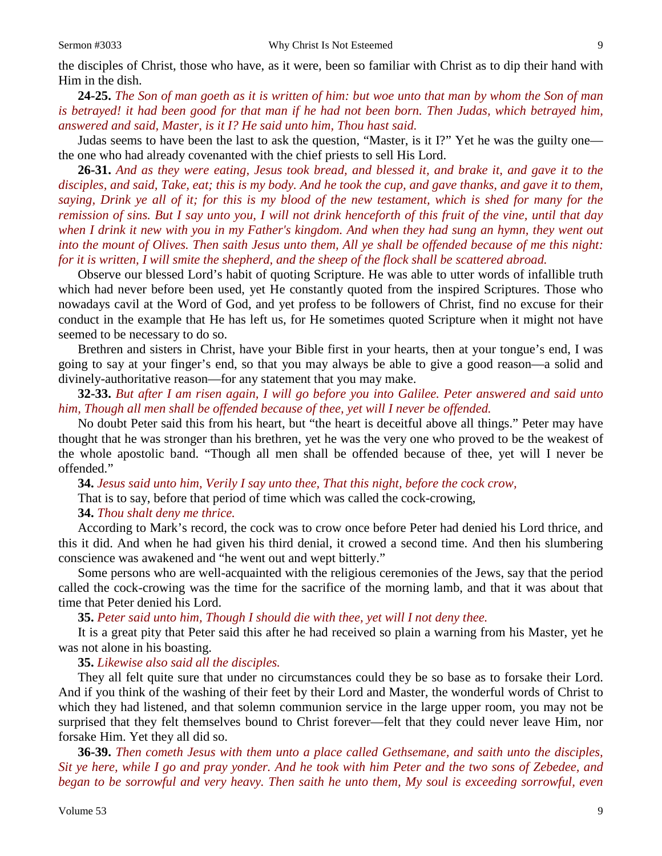**24-25.** *The Son of man goeth as it is written of him: but woe unto that man by whom the Son of man is betrayed! it had been good for that man if he had not been born. Then Judas, which betrayed him, answered and said, Master, is it I? He said unto him, Thou hast said.*

Judas seems to have been the last to ask the question, "Master, is it I?" Yet he was the guilty one the one who had already covenanted with the chief priests to sell His Lord.

**26-31.** *And as they were eating, Jesus took bread, and blessed it, and brake it, and gave it to the disciples, and said, Take, eat; this is my body. And he took the cup, and gave thanks, and gave it to them, saying, Drink ye all of it; for this is my blood of the new testament, which is shed for many for the remission of sins. But I say unto you, I will not drink henceforth of this fruit of the vine, until that day when I drink it new with you in my Father's kingdom. And when they had sung an hymn, they went out into the mount of Olives. Then saith Jesus unto them, All ye shall be offended because of me this night: for it is written, I will smite the shepherd, and the sheep of the flock shall be scattered abroad.*

Observe our blessed Lord's habit of quoting Scripture. He was able to utter words of infallible truth which had never before been used, yet He constantly quoted from the inspired Scriptures. Those who nowadays cavil at the Word of God, and yet profess to be followers of Christ, find no excuse for their conduct in the example that He has left us, for He sometimes quoted Scripture when it might not have seemed to be necessary to do so.

Brethren and sisters in Christ, have your Bible first in your hearts, then at your tongue's end, I was going to say at your finger's end, so that you may always be able to give a good reason—a solid and divinely-authoritative reason—for any statement that you may make.

**32-33.** *But after I am risen again, I will go before you into Galilee. Peter answered and said unto him, Though all men shall be offended because of thee, yet will I never be offended.*

No doubt Peter said this from his heart, but "the heart is deceitful above all things." Peter may have thought that he was stronger than his brethren, yet he was the very one who proved to be the weakest of the whole apostolic band. "Though all men shall be offended because of thee, yet will I never be offended."

**34.** *Jesus said unto him, Verily I say unto thee, That this night, before the cock crow,* That is to say, before that period of time which was called the cock-crowing, **34.** *Thou shalt deny me thrice.*

According to Mark's record, the cock was to crow once before Peter had denied his Lord thrice, and this it did. And when he had given his third denial, it crowed a second time. And then his slumbering conscience was awakened and "he went out and wept bitterly."

Some persons who are well-acquainted with the religious ceremonies of the Jews, say that the period called the cock-crowing was the time for the sacrifice of the morning lamb, and that it was about that time that Peter denied his Lord.

**35.** *Peter said unto him, Though I should die with thee, yet will I not deny thee.*

It is a great pity that Peter said this after he had received so plain a warning from his Master, yet he was not alone in his boasting.

**35.** *Likewise also said all the disciples.*

They all felt quite sure that under no circumstances could they be so base as to forsake their Lord. And if you think of the washing of their feet by their Lord and Master, the wonderful words of Christ to which they had listened, and that solemn communion service in the large upper room, you may not be surprised that they felt themselves bound to Christ forever—felt that they could never leave Him, nor forsake Him. Yet they all did so.

**36-39.** *Then cometh Jesus with them unto a place called Gethsemane, and saith unto the disciples, Sit ye here, while I go and pray yonder. And he took with him Peter and the two sons of Zebedee, and began to be sorrowful and very heavy. Then saith he unto them, My soul is exceeding sorrowful, even*